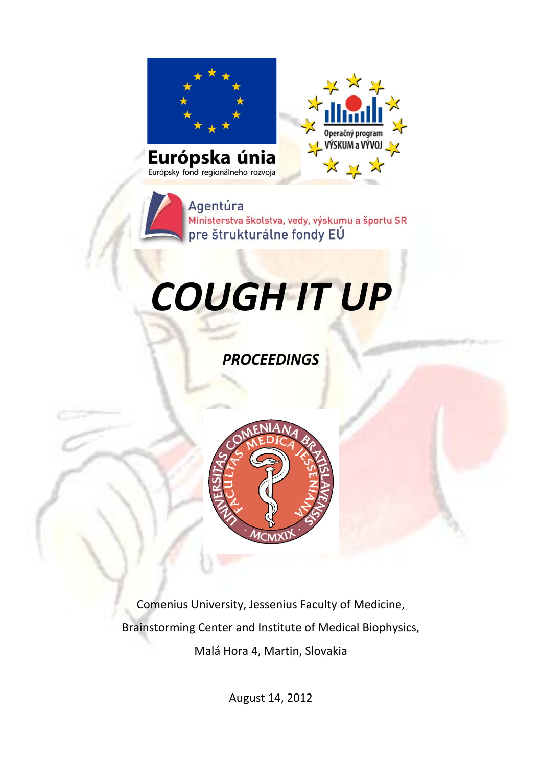

Agentúra Ministerstva školstva, vedy, výskumu a športu SR pre štrukturálne fondy EÚ

# *COUGH IT UP*

*PROCEEDINGS*



Comenius University, Jessenius Faculty of Medicine, Brainstorming Center and Institute of Medical Biophysics, Malá Hora 4, Martin, Slovakia

August 14, 2012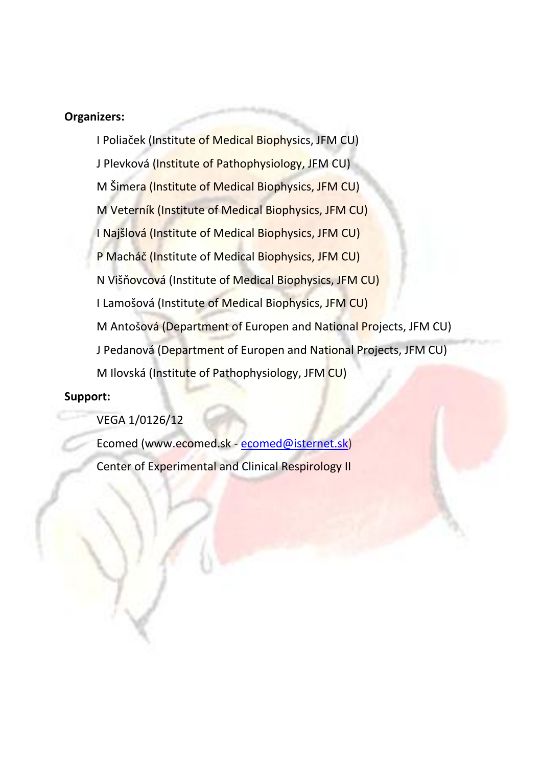## **Organizers:**

I Poliaček (Institute of Medical Biophysics, JFM CU) J Plevková (Institute of Pathophysiology, JFM CU) M Šimera (Institute of Medical Biophysics, JFM CU) M Veterník (Institute of Medical Biophysics, JFM CU) I Najšlová (Institute of Medical Biophysics, JFM CU) P Macháč (Institute of Medical Biophysics, JFM CU) N Višňovcová (Institute of Medical Biophysics, JFM CU) I Lamošová (Institute of Medical Biophysics, JFM CU) M Antošová (Department of Europen and National Projects, JFM CU) J Pedanová (Department of Europen and National Projects, JFM CU) M Ilovská (Institute of Pathophysiology, JFM CU)

#### **Support:**

VEGA 1/0126/12

Ecomed [\(www.ecomed.sk](http://www.azet.sk/katalog/r/du/14978/www.ecomed.sk%21qmark%21utm_source%3Dazet.sk%21amp%21utm_medium%3Dkampan11/) - [ecomed@isternet.sk\)](mailto:ecomed@isternet.sk) Center of Experimental and Clinical Respirology II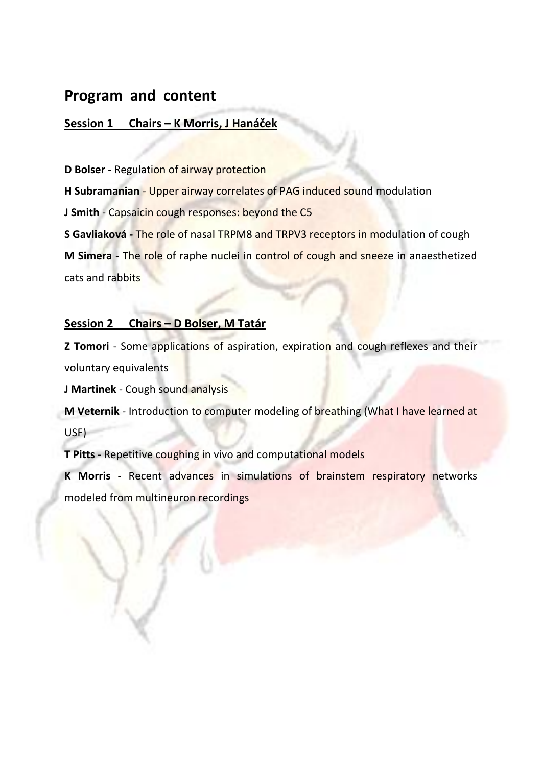## **Program and content**

## **Session 1 Chairs – K Morris, J Hanáček**

**D Bolser** - Regulation of airway protection

**H Subramanian** - Upper airway correlates of PAG induced sound modulation

**J Smith** - Capsaicin cough responses: beyond the C5

**S Gavliaková -** The role of nasal TRPM8 and TRPV3 receptors in modulation of cough

**M Simera** - The role of raphe nuclei in control of cough and sneeze in anaesthetized cats and rabbits

## **Session 2 Chairs – D Bolser, M Tatár**

**Z Tomori** - Some applications of aspiration, expiration and cough reflexes and their voluntary equivalents

**J Martinek** - Cough sound analysis

**M Veternik** - Introduction to computer modeling of breathing (What I have learned at USF)

**T Pitts** - Repetitive coughing in vivo and computational models

**K Morris** - Recent advances in simulations of brainstem respiratory networks modeled from multineuron recordings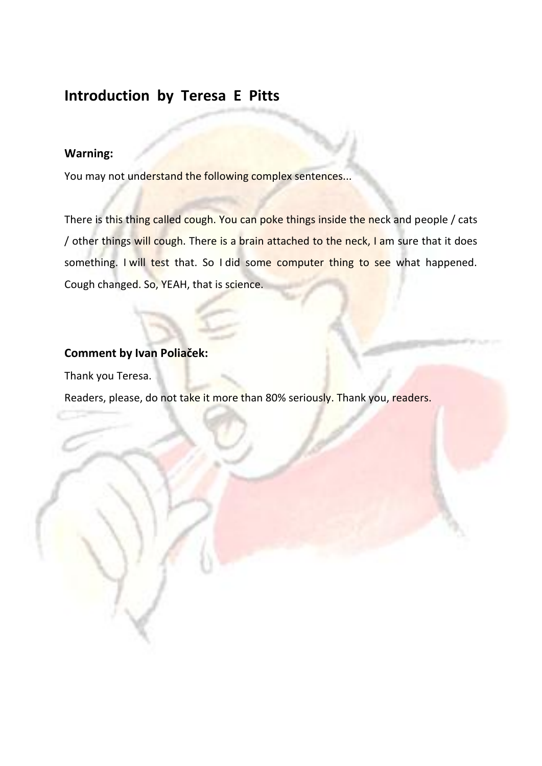# **Introduction by Teresa E Pitts**

## **Warning:**

You may not understand the following complex sentences...

There is this thing called cough. You can poke things inside the neck and people / cats / other things will cough. There is a brain attached to the neck, I am sure that it does something. I will test that. So I did some computer thing to see what happened. Cough changed. So, YEAH, that is science.

## **Comment by Ivan Poliaček:**

Thank you Teresa.

Readers, please, do not take it more than 80% seriously. Thank you, readers.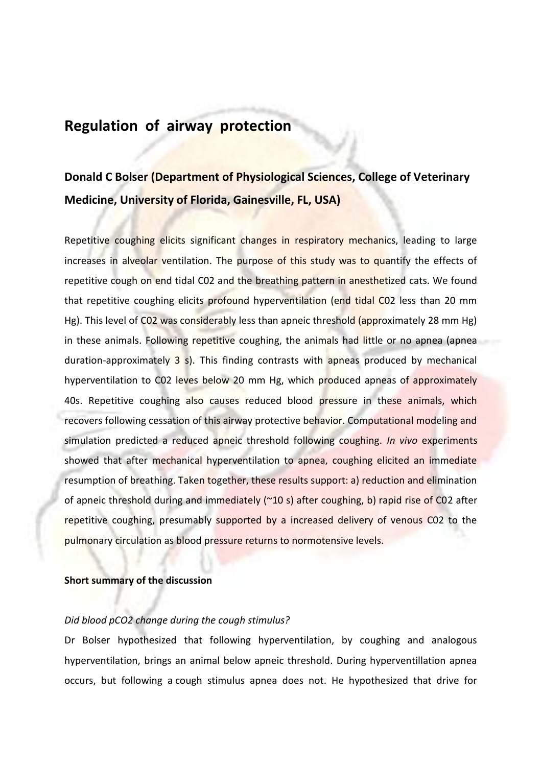## **Regulation of airway protection**

# **Donald C Bolser (Department of Physiological Sciences, College of Veterinary Medicine, University of Florida, Gainesville, FL, USA)**

Repetitive coughing elicits significant changes in respiratory mechanics, leading to large increases in alveolar ventilation. The purpose of this study was to quantify the effects of repetitive cough on end tidal C02 and the breathing pattern in anesthetized cats. We found that repetitive coughing elicits profound hyperventilation (end tidal C02 less than 20 mm Hg). This level of C02 was considerably less than apneic threshold (approximately 28 mm Hg) in these animals. Following repetitive coughing, the animals had little or no apnea (apnea duration-approximately 3 s). This finding contrasts with apneas produced by mechanical hyperventilation to CO2 leves below 20 mm Hg, which produced apneas of approximately 40s. Repetitive coughing also causes reduced blood pressure in these animals, which recovers following cessation of this airway protective behavior. Computational modeling and simulation predicted a reduced apneic threshold following coughing. *In vivo* experiments showed that after mechanical hyperventilation to apnea, coughing elicited an immediate resumption of breathing. Taken together, these results support: a) reduction and elimination of apneic threshold during and immediately ( $\approx$ 10 s) after coughing, b) rapid rise of C02 after repetitive coughing, presumably supported by a increased delivery of venous C02 to the pulmonary circulation as blood pressure returns to normotensive levels.

#### **Short summary of the discussion**

#### *Did blood pCO2 change during the cough stimulus?*

Dr Bolser hypothesized that following hyperventilation, by coughing and analogous hyperventilation, brings an animal below apneic threshold. During hyperventillation apnea occurs, but following a cough stimulus apnea does not. He hypothesized that drive for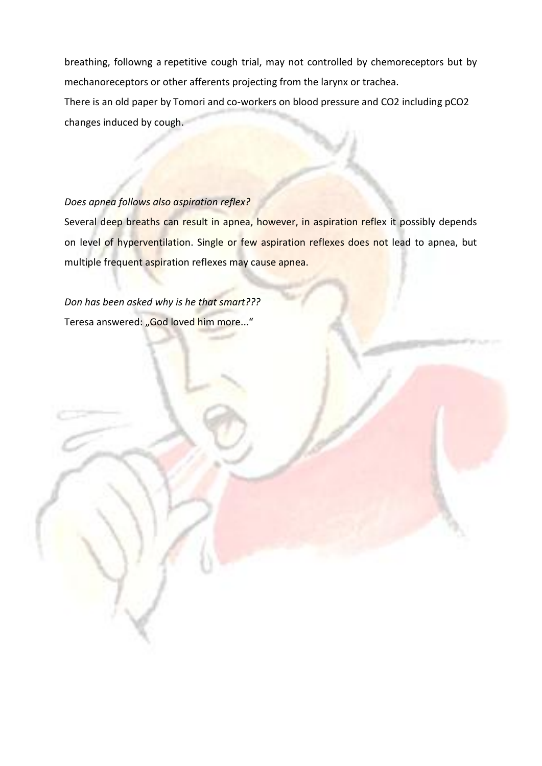breathing, followng a repetitive cough trial, may not controlled by chemoreceptors but by mechanoreceptors or other afferents projecting from the larynx or trachea. There is an old paper by Tomori and co-workers on blood pressure and CO2 including pCO2 changes induced by cough.

#### *Does apnea follows also aspiration reflex?*

Several deep breaths can result in apnea, however, in aspiration reflex it possibly depends on level of hyperventilation. Single or few aspiration reflexes does not lead to apnea, but multiple frequent aspiration reflexes may cause apnea.

*Don has been asked why is he that smart???* Teresa answered: "God loved him more..."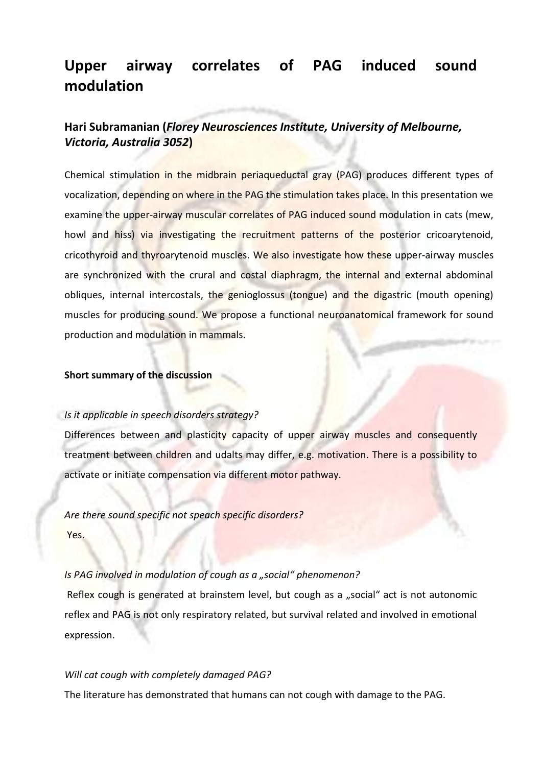# **Upper airway correlates of PAG induced sound modulation**

## **Hari Subramanian (***Florey Neurosciences Institute, University of Melbourne, Victoria, Australia 3052***)**

Chemical stimulation in the midbrain periaqueductal gray (PAG) produces different types of vocalization, depending on where in the PAG the stimulation takes place. In this presentation we examine the upper-airway muscular correlates of PAG induced sound modulation in cats (mew, howl and hiss) via investigating the recruitment patterns of the posterior cricoarytenoid, cricothyroid and thyroarytenoid muscles. We also investigate how these upper-airway muscles are synchronized with the crural and costal diaphragm, the internal and external abdominal obliques, internal intercostals, the genioglossus (tongue) and the digastric (mouth opening) muscles for producing sound. We propose a functional neuroanatomical framework for sound production and modulation in mammals.

#### **Short summary of the discussion**

#### *Is it applicable in speech disorders strategy?*

Differences between and plasticity capacity of upper airway muscles and consequently treatment between children and udalts may differ, e.g. motivation. There is a possibility to activate or initiate compensation via different motor pathway.

*Are there sound specific not speach specific disorders?*  Yes.

#### *Is PAG involved in modulation of cough as a "social" phenomenon?*

Reflex cough is generated at brainstem level, but cough as a "social" act is not autonomic reflex and PAG is not only respiratory related, but survival related and involved in emotional expression.

#### *Will cat cough with completely damaged PAG?*

The literature has demonstrated that humans can not cough with damage to the PAG.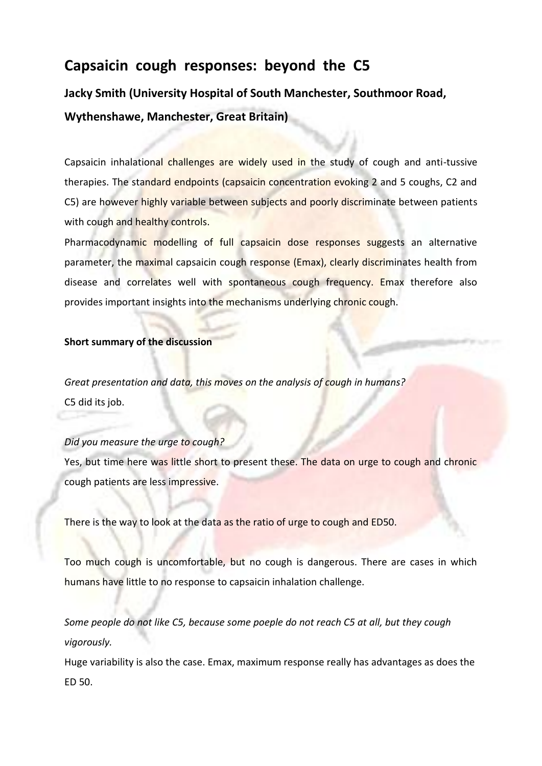# **Capsaicin cough responses: beyond the C5**

**Jacky Smith (University Hospital of South Manchester, Southmoor Road, Wythenshawe, Manchester, Great Britain)**

Capsaicin inhalational challenges are widely used in the study of cough and anti-tussive therapies. The standard endpoints (capsaicin concentration evoking 2 and 5 coughs, C2 and C5) are however highly variable between subjects and poorly discriminate between patients with cough and healthy controls.

Pharmacodynamic modelling of full capsaicin dose responses suggests an alternative parameter, the maximal capsaicin cough response (Emax), clearly discriminates health from disease and correlates well with spontaneous cough frequency. Emax therefore also provides important insights into the mechanisms underlying chronic cough.

#### **Short summary of the discussion**

*Great presentation and data, this moves on the analysis of cough in humans?* C5 did its job.

#### *Did you measure the urge to cough?*

Yes, but time here was little short to present these. The data on urge to cough and chronic cough patients are less impressive.

There is the way to look at the data as the ratio of urge to cough and ED50.

Too much cough is uncomfortable, but no cough is dangerous. There are cases in which humans have little to no response to capsaicin inhalation challenge.

*Some people do not like C5, because some poeple do not reach C5 at all, but they cough vigorously.* 

Huge variability is also the case. Emax, maximum response really has advantages as does the ED 50.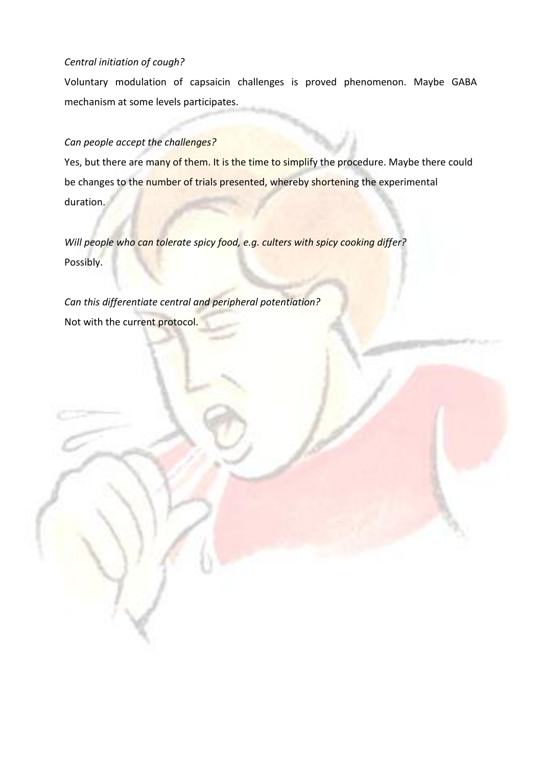#### *Central initiation of cough?*

Voluntary modulation of capsaicin challenges is proved phenomenon. Maybe GABA mechanism at some levels participates.

## *Can people accept the challenges?*

Yes, but there are many of them. It is the time to simplify the procedure. Maybe there could be changes to the number of trials presented, whereby shortening the experimental duration.

*Will people who can tolerate spicy food, e.g. culters with spicy cooking differ?* Possibly.

*Can this differentiate central and peripheral potentiation?* Not with the current protocol.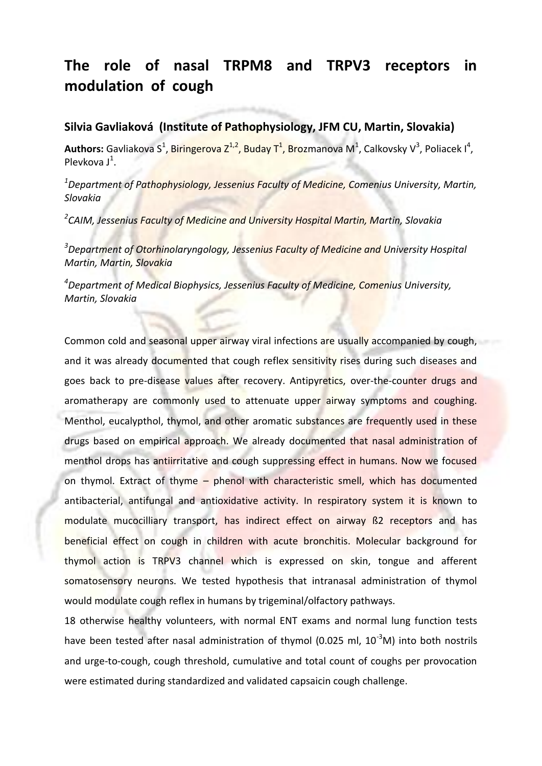# **The role of nasal TRPM8 and TRPV3 receptors in modulation of cough**

## **Silvia Gavliaková (Institute of Pathophysiology, JFM CU, Martin, Slovakia)**

Authors: Gavliakova S<sup>1</sup>, Biringerova Z<sup>1,2</sup>, Buday T<sup>1</sup>, Brozmanova M<sup>1</sup>, Calkovsky V<sup>3</sup>, Poliacek I<sup>4</sup>, Plevkova  $J^1$ .

*<sup>1</sup>Department of Pathophysiology, Jessenius Faculty of Medicine, Comenius University, Martin, Slovakia*

*2 CAIM, Jessenius Faculty of Medicine and University Hospital Martin, Martin, Slovakia* 

*<sup>3</sup>Department of Otorhinolaryngology, Jessenius Faculty of Medicine and University Hospital Martin, Martin, Slovakia*

*<sup>4</sup>Department of Medical Biophysics, Jessenius Faculty of Medicine, Comenius University, Martin, Slovakia*

Common cold and seasonal upper airway viral infections are usually accompanied by cough, and it was already documented that cough reflex sensitivity rises during such diseases and goes back to pre-disease values after recovery. Antipyretics, over-the-counter drugs and aromatherapy are commonly used to attenuate upper airway symptoms and coughing. Menthol, eucalypthol, thymol, and other aromatic substances are frequently used in these drugs based on empirical approach. We already documented that nasal administration of menthol drops has antiirritative and cough suppressing effect in humans. Now we focused on thymol. Extract of thyme – phenol with characteristic smell, which has documented antibacterial, antifungal and antioxidative activity. In respiratory system it is known to modulate mucocilliary transport, has indirect effect on airway ß2 receptors and has beneficial effect on cough in children with acute bronchitis. Molecular background for thymol action is TRPV3 channel which is expressed on skin, tongue and afferent somatosensory neurons. We tested hypothesis that intranasal administration of thymol would modulate cough reflex in humans by trigeminal/olfactory pathways.

18 otherwise healthy volunteers, with normal ENT exams and normal lung function tests have been tested after nasal administration of thymol (0.025 ml,  $10^{-3}$ M) into both nostrils and urge-to-cough, cough threshold, cumulative and total count of coughs per provocation were estimated during standardized and validated capsaicin cough challenge.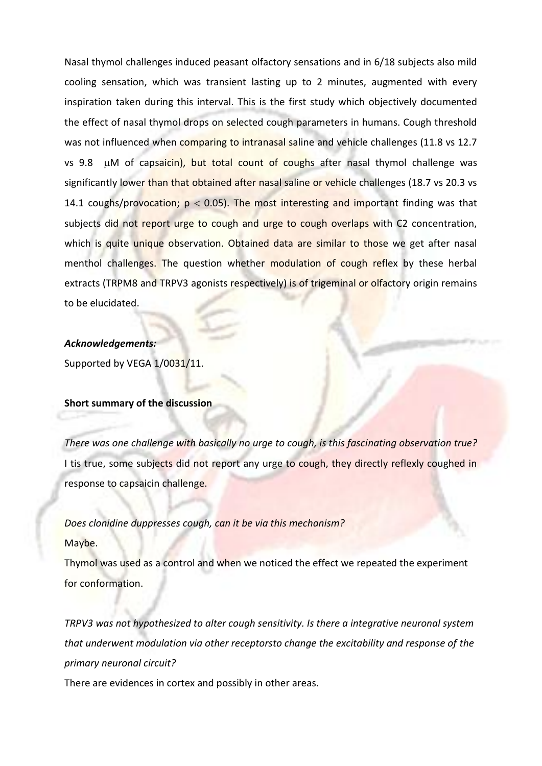Nasal thymol challenges induced peasant olfactory sensations and in 6/18 subjects also mild cooling sensation, which was transient lasting up to 2 minutes, augmented with every inspiration taken during this interval. This is the first study which objectively documented the effect of nasal thymol drops on selected cough parameters in humans. Cough threshold was not influenced when comparing to intranasal saline and vehicle challenges (11.8 vs 12.7 vs 9.8  $\mu$ M of capsaicin), but total count of coughs after nasal thymol challenge was significantly lower than that obtained after nasal saline or vehicle challenges (18.7 vs 20.3 vs 14.1 coughs/provocation;  $p < 0.05$ ). The most interesting and important finding was that subjects did not report urge to cough and urge to cough overlaps with C2 concentration, which is quite unique observation. Obtained data are similar to those we get after nasal menthol challenges. The question whether modulation of cough reflex by these herbal extracts (TRPM8 and TRPV3 agonists respectively) is of trigeminal or olfactory origin remains to be elucidated.

#### *Acknowledgements:*

Supported by VEGA 1/0031/11.

#### **Short summary of the discussion**

*There was one challenge with basically no urge to cough, is this fascinating observation true?*  I tis true, some subjects did not report any urge to cough, they directly reflexly coughed in response to capsaicin challenge.

#### *Does clonidine duppresses cough, can it be via this mechanism?*

Maybe.

Thymol was used as a control and when we noticed the effect we repeated the experiment for conformation.

*TRPV3 was not hypothesized to alter cough sensitivity. Is there a integrative neuronal system that underwent modulation via other receptorsto change the excitability and response of the primary neuronal circuit?*

There are evidences in cortex and possibly in other areas.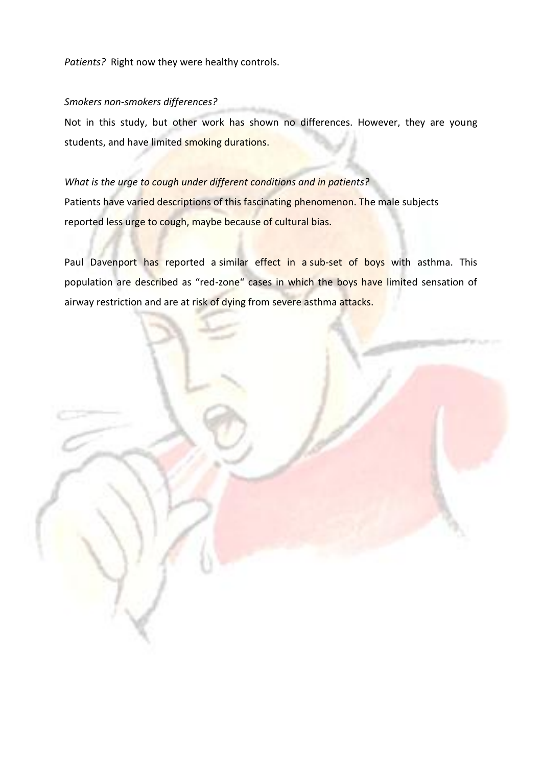*Patients?* Right now they were healthy controls.

#### *Smokers non-smokers differences?*

Not in this study, but other work has shown no differences. However, they are young students, and have limited smoking durations.

## *What is the urge to cough under different conditions and in patients?*

Patients have varied descriptions of this fascinating phenomenon. The male subjects reported less urge to cough, maybe because of cultural bias.

Paul Davenport has reported a similar effect in a sub-set of boys with asthma. This population are described as "red-zone" cases in which the boys have limited sensation of airway restriction and are at risk of dying from severe asthma attacks.

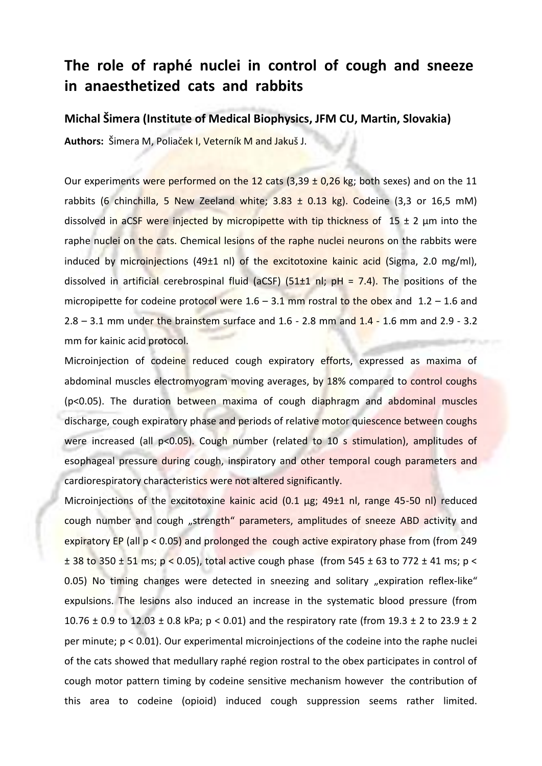# **The role of raphé nuclei in control of cough and sneeze in anaesthetized cats and rabbits**

#### **Michal Šimera (Institute of Medical Biophysics, JFM CU, Martin, Slovakia)**

**Authors:** Šimera M, Poliaček I, Veterník M and Jakuš J.

Our experiments were performed on the 12 cats  $(3,39 \pm 0,26 \text{ kg})$  both sexes) and on the 11 rabbits (6 chinchilla, 5 New Zeeland white;  $3.83 \pm 0.13$  kg). Codeine (3,3 or 16,5 mM) dissolved in aCSF were injected by micropipette with tip thickness of  $15 \pm 2$  µm into the raphe nuclei on the cats. Chemical lesions of the raphe nuclei neurons on the rabbits were induced by microinjections (49 $\pm$ 1 nl) of the excitotoxine kainic acid (Sigma, 2.0 mg/ml), dissolved in artificial cerebrospinal fluid (aCSF) (51 $\pm$ 1 nl; pH = 7.4). The positions of the micropipette for codeine protocol were  $1.6 - 3.1$  mm rostral to the obex and  $1.2 - 1.6$  and 2.8 – 3.1 mm under the brainstem surface and  $1.6 - 2.8$  mm and  $1.4 - 1.6$  mm and  $2.9 - 3.2$ mm for kainic acid protocol.

Microinjection of codeine reduced cough expiratory efforts, expressed as maxima of abdominal muscles electromyogram moving averages, by 18% compared to control coughs (p<0.05). The duration between maxima of cough diaphragm and abdominal muscles discharge, cough expiratory phase and periods of relative motor quiescence between coughs were increased (all p<0.05). Cough number (related to 10 s stimulation), amplitudes of esophageal pressure during cough, inspiratory and other temporal cough parameters and cardiorespiratory characteristics were not altered significantly.

Microinjections of the excitotoxine kainic acid (0.1 µg; 49±1 nl, range 45-50 nl) reduced cough number and cough "strength" parameters, amplitudes of sneeze ABD activity and expiratory EP (all p < 0.05) and prolonged the cough active expiratory phase from (from 249 ± 38 to 350 ± 51 ms; p < 0.05), total active cough phase (from 545 ± 63 to 772 ± 41 ms; p < 0.05) No timing changes were detected in sneezing and solitary "expiration reflex-like" expulsions. The lesions also induced an increase in the systematic blood pressure (from 10.76  $\pm$  0.9 to 12.03  $\pm$  0.8 kPa; p < 0.01) and the respiratory rate (from 19.3  $\pm$  2 to 23.9  $\pm$  2 per minute; p < 0.01). Our experimental microinjections of the codeine into the raphe nuclei of the cats showed that medullary raphé region rostral to the obex participates in control of cough motor pattern timing by codeine sensitive mechanism however the contribution of this area to codeine (opioid) induced cough suppression seems rather limited.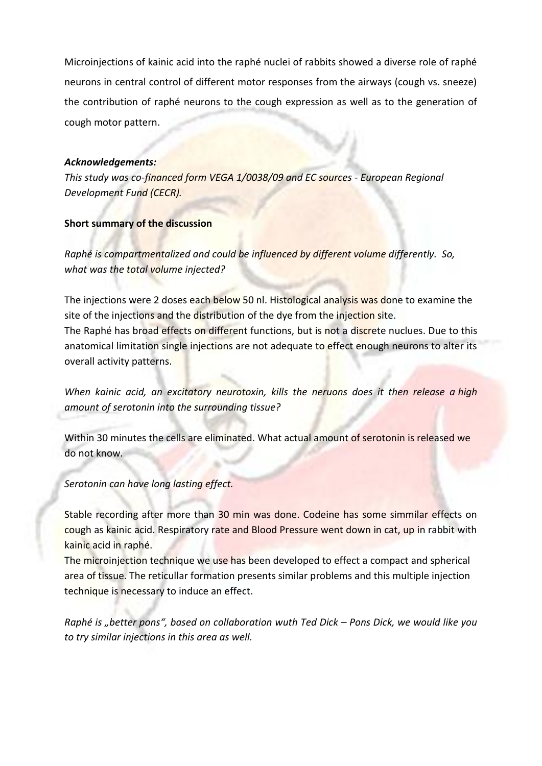Microinjections of kainic acid into the raphé nuclei of rabbits showed a diverse role of raphé neurons in central control of different motor responses from the airways (cough vs. sneeze) the contribution of raphé neurons to the cough expression as well as to the generation of cough motor pattern.

#### *Acknowledgements:*

*This study was co-financed form VEGA 1/0038/09 and EC sources - European Regional Development Fund (CECR).*

#### **Short summary of the discussion**

*Raphé is compartmentalized and could be influenced by different volume differently. So, what was the total volume injected?* 

The injections were 2 doses each below 50 nl. Histological analysis was done to examine the site of the injections and the distribution of the dye from the injection site. The Raphé has broad effects on different functions, but is not a discrete nuclues. Due to this

anatomical limitation single injections are not adequate to effect enough neurons to alter its overall activity patterns.

*When kainic acid, an excitatory neurotoxin, kills the neruons does it then release a high amount of serotonin into the surrounding tissue?* 

Within 30 minutes the cells are eliminated. What actual amount of serotonin is released we do not know.

*Serotonin can have long lasting effect.* 

Stable recording after more than 30 min was done. Codeine has some simmilar effects on cough as kainic acid. Respiratory rate and Blood Pressure went down in cat, up in rabbit with kainic acid in raphé.

The microinjection technique we use has been developed to effect a compact and spherical area of tissue. The reticullar formation presents similar problems and this multiple injection technique is necessary to induce an effect.

*Raphé is "better pons", based on collaboration wuth Ted Dick – Pons Dick, we would like you to try similar injections in this area as well.*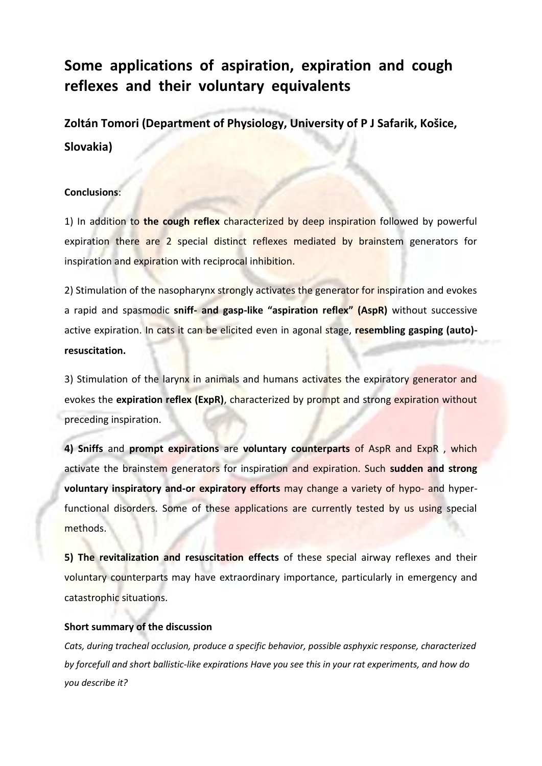# **Some applications of aspiration, expiration and cough reflexes and their voluntary equivalents**

**Zoltán Tomori (Department of Physiology, University of P J Safarik, Košice, Slovakia)**

#### **Conclusions**:

1) In addition to **the cough reflex** characterized by deep inspiration followed by powerful expiration there are 2 special distinct reflexes mediated by brainstem generators for inspiration and expiration with reciprocal inhibition.

2) Stimulation of the nasopharynx strongly activates the generator for inspiration and evokes a rapid and spasmodic **sniff- and gasp-like "aspiration reflex" (AspR)** without successive active expiration. In cats it can be elicited even in agonal stage, **resembling gasping (auto) resuscitation.**

3) Stimulation of the larynx in animals and humans activates the expiratory generator and evokes the **expiration reflex (ExpR)**, characterized by prompt and strong expiration without preceding inspiration.

**4) Sniffs** and **prompt expirations** are **voluntary counterparts** of AspR and ExpR , which activate the brainstem generators for inspiration and expiration. Such **sudden and strong voluntary inspiratory and-or expiratory efforts** may change a variety of hypo- and hyperfunctional disorders. Some of these applications are currently tested by us using special methods.

**5) The revitalization and resuscitation effects** of these special airway reflexes and their voluntary counterparts may have extraordinary importance, particularly in emergency and catastrophic situations.

#### **Short summary of the discussion**

*Cats, during tracheal occlusion, produce a specific behavior, possible asphyxic response, characterized by forcefull and short ballistic-like expirations Have you see this in your rat experiments, and how do you describe it?*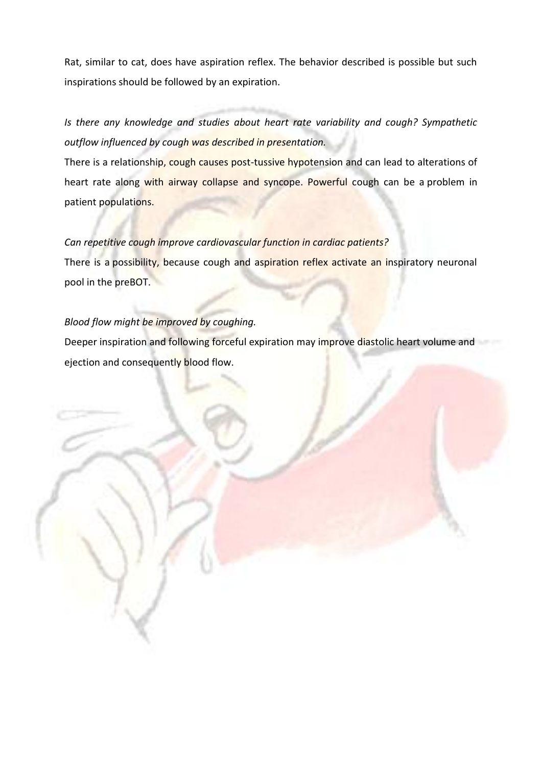Rat, similar to cat, does have aspiration reflex. The behavior described is possible but such inspirations should be followed by an expiration.

*Is there any knowledge and studies about heart rate variability and cough? Sympathetic outflow influenced by cough was described in presentation.*

There is a relationship, cough causes post-tussive hypotension and can lead to alterations of heart rate along with airway collapse and syncope. Powerful cough can be a problem in patient populations.

#### *Can repetitive cough improve cardiovascular function in cardiac patients?*

There is a possibility, because cough and aspiration reflex activate an inspiratory neuronal pool in the preBOT.

#### *Blood flow might be improved by coughing.*

Deeper inspiration and following forceful expiration may improve diastolic heart volume and ejection and consequently blood flow.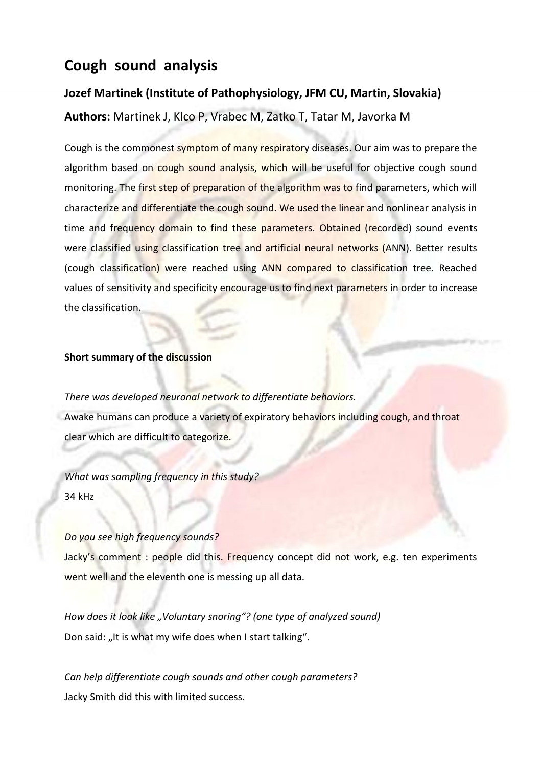# **Cough sound analysis**

### **Jozef Martinek (Institute of Pathophysiology, JFM CU, Martin, Slovakia)**

**Authors:** Martinek J, Klco P, Vrabec M, Zatko T, Tatar M, Javorka M

Cough is the commonest symptom of many respiratory diseases. Our aim was to prepare the algorithm based on cough sound analysis, which will be useful for objective cough sound monitoring. The first step of preparation of the algorithm was to find parameters, which will characterize and differentiate the cough sound. We used the linear and nonlinear analysis in time and frequency domain to find these parameters. Obtained (recorded) sound events were classified using classification tree and artificial neural networks (ANN). Better results (cough classification) were reached using ANN compared to classification tree. Reached values of sensitivity and specificity encourage us to find next parameters in order to increase the classification.

#### **Short summary of the discussion**

*There was developed neuronal network to differentiate behaviors.*  Awake humans can produce a variety of expiratory behaviors including cough, and throat clear which are difficult to categorize.

*What was sampling frequency in this study?* 34 kHz

#### *Do you see high frequency sounds?*

Jacky's comment : people did this. Frequency concept did not work, e.g. ten experiments went well and the eleventh one is messing up all data.

*How does it look like "Voluntary snoring"? (one type of analyzed sound)* Don said: "It is what my wife does when I start talking".

*Can help differentiate cough sounds and other cough parameters?* Jacky Smith did this with limited success.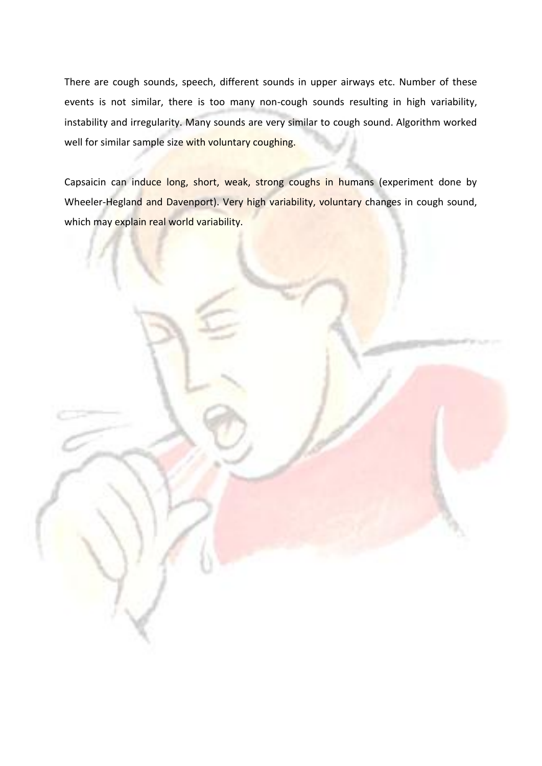There are cough sounds, speech, different sounds in upper airways etc. Number of these events is not similar, there is too many non-cough sounds resulting in high variability, instability and irregularity. Many sounds are very similar to cough sound. Algorithm worked well for similar sample size with voluntary coughing.

Capsaicin can induce long, short, weak, strong coughs in humans (experiment done by Wheeler-Hegland and Davenport). Very high variability, voluntary changes in cough sound, which may explain real world variability.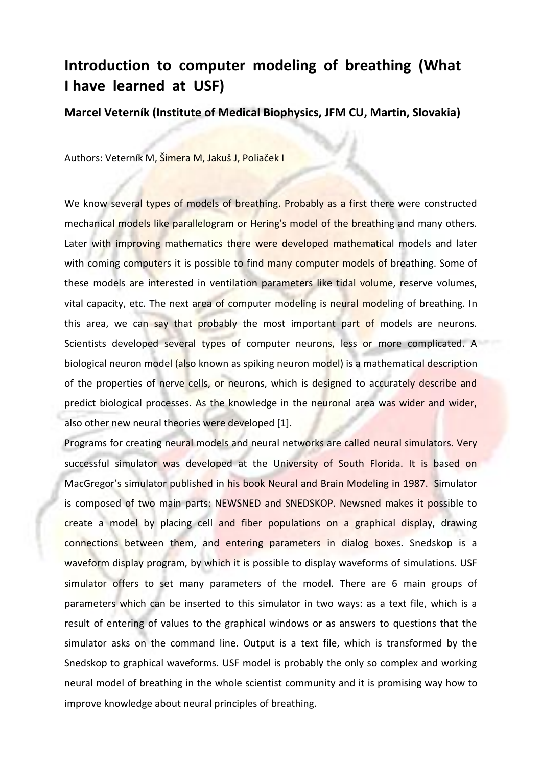# **Introduction to computer modeling of breathing (What I have learned at USF)**

**Marcel Veterník (Institute of Medical Biophysics, JFM CU, Martin, Slovakia)**

Authors: Veterník M, Šimera M, Jakuš J, Poliaček I

We know several types of models of breathing. Probably as a first there were constructed mechanical models like parallelogram or Hering's model of the breathing and many others. Later with improving mathematics there were developed mathematical models and later with coming computers it is possible to find many computer models of breathing. Some of these models are interested in ventilation parameters like tidal volume, reserve volumes, vital capacity, etc. The next area of computer modeling is neural modeling of breathing. In this area, we can say that probably the most important part of models are neurons. Scientists developed several types of computer neurons, less or more complicated. A biological neuron model (also known as spiking neuron model) is a mathematical description of the properties of nerve cells, or neurons, which is designed to accurately describe and predict biological processes. As the knowledge in the neuronal area was wider and wider, also other new neural theories were developed [1].

Programs for creating neural models and neural networks are called neural simulators. Very successful simulator was developed at the University of South Florida. It is based on MacGregor's simulator published in his book Neural and Brain Modeling in 1987. Simulator is composed of two main parts: NEWSNED and SNEDSKOP. Newsned makes it possible to create a model by placing cell and fiber populations on a graphical display, drawing connections between them, and entering parameters in dialog boxes. Snedskop is a waveform display program, by which it is possible to display waveforms of simulations. USF simulator offers to set many parameters of the model. There are 6 main groups of parameters which can be inserted to this simulator in two ways: as a text file, which is a result of entering of values to the graphical windows or as answers to questions that the simulator asks on the command line. Output is a text file, which is transformed by the Snedskop to graphical waveforms. USF model is probably the only so complex and working neural model of breathing in the whole scientist community and it is promising way how to improve knowledge about neural principles of breathing.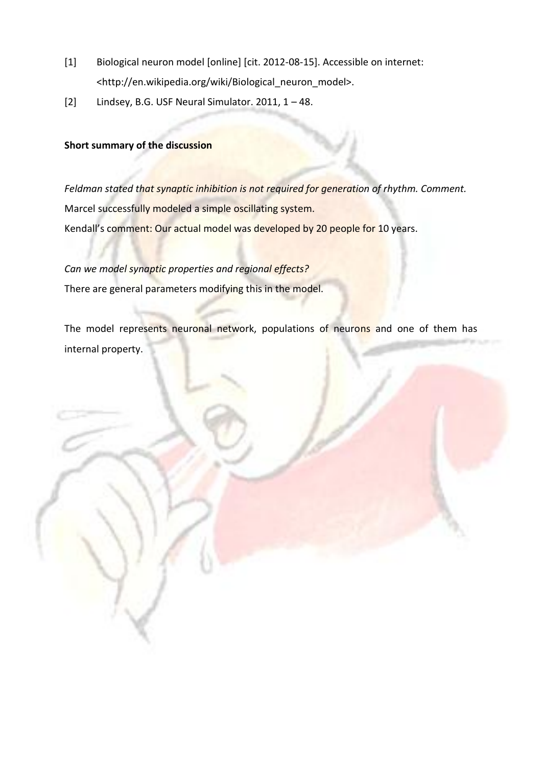- [1] Biological neuron model [online] [cit. 2012-08-15]. Accessible on internet: <http://en.wikipedia.org/wiki/Biological\_neuron\_model>.
- [2] Lindsey, B.G. USF Neural Simulator. 2011, 1 48.

#### **Short summary of the discussion**

*Feldman stated that synaptic inhibition is not required for generation of rhythm. Comment.* Marcel successfully modeled a simple oscillating system. Kendall's comment: Our actual model was developed by 20 people for 10 years.

*Can we model synaptic properties and regional effects?* There are general parameters modifying this in the model.

The model represents neuronal network, populations of neurons and one of them has internal property.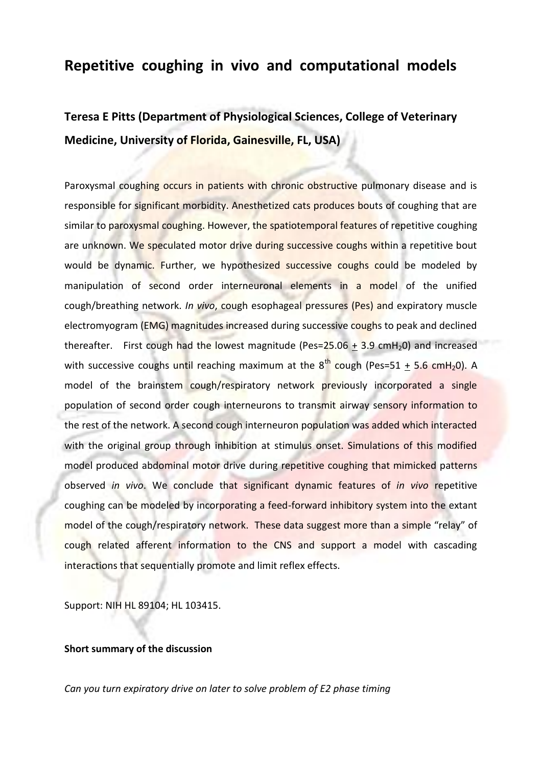## **Repetitive coughing in vivo and computational models**

# **Teresa E Pitts (Department of Physiological Sciences, College of Veterinary Medicine, University of Florida, Gainesville, FL, USA)**

Paroxysmal coughing occurs in patients with chronic obstructive pulmonary disease and is responsible for significant morbidity. Anesthetized cats produces bouts of coughing that are similar to paroxysmal coughing. However, the spatiotemporal features of repetitive coughing are unknown. We speculated motor drive during successive coughs within a repetitive bout would be dynamic. Further, we hypothesized successive coughs could be modeled by manipulation of second order interneuronal elements in a model of the unified cough/breathing network. *In vivo*, cough esophageal pressures (Pes) and expiratory muscle electromyogram (EMG) magnitudes increased during successive coughs to peak and declined thereafter. First cough had the lowest magnitude (Pes= $25.06 \pm 3.9$  cmH<sub>2</sub>0) and increased with successive coughs until reaching maximum at the  $8^{th}$  cough (Pes=51 + 5.6 cmH<sub>2</sub>0). A model of the brainstem cough/respiratory network previously incorporated a single population of second order cough interneurons to transmit airway sensory information to the rest of the network. A second cough interneuron population was added which interacted with the original group through inhibition at stimulus onset. Simulations of this modified model produced abdominal motor drive during repetitive coughing that mimicked patterns observed *in vivo*. We conclude that significant dynamic features of *in vivo* repetitive coughing can be modeled by incorporating a feed-forward inhibitory system into the extant model of the cough/respiratory network. These data suggest more than a simple "relay" of cough related afferent information to the CNS and support a model with cascading interactions that sequentially promote and limit reflex effects.

Support: NIH HL 89104; HL 103415.

#### **Short summary of the discussion**

*Can you turn expiratory drive on later to solve problem of E2 phase timing*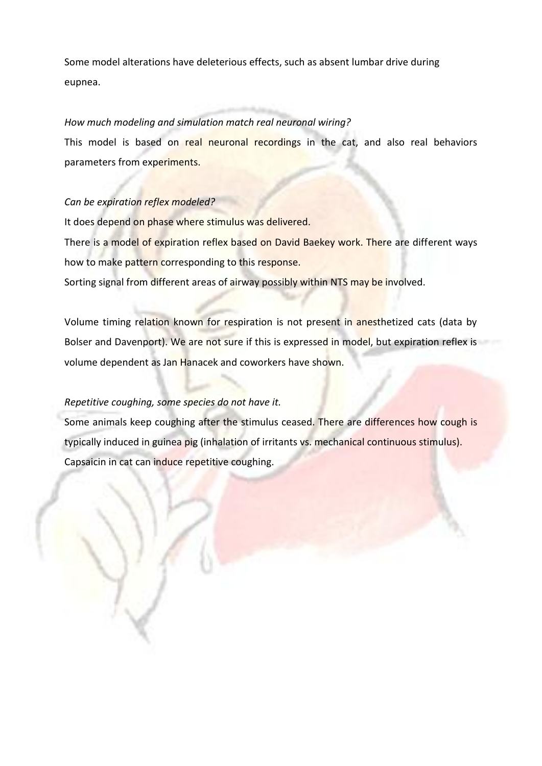Some model alterations have deleterious effects, such as absent lumbar drive during eupnea.

#### *How much modeling and simulation match real neuronal wiring?*

This model is based on real neuronal recordings in the cat, and also real behaviors parameters from experiments.

#### *Can be expiration reflex modeled?*

It does depend on phase where stimulus was delivered.

There is a model of expiration reflex based on David Baekey work. There are different ways how to make pattern corresponding to this response.

Sorting signal from different areas of airway possibly within NTS may be involved.

Volume timing relation known for respiration is not present in anesthetized cats (data by Bolser and Davenport). We are not sure if this is expressed in model, but expiration reflex is volume dependent as Jan Hanacek and coworkers have shown.

#### *Repetitive coughing, some species do not have it.*

Some animals keep coughing after the stimulus ceased. There are differences how cough is typically induced in guinea pig (inhalation of irritants vs. mechanical continuous stimulus). Capsaicin in cat can induce repetitive coughing.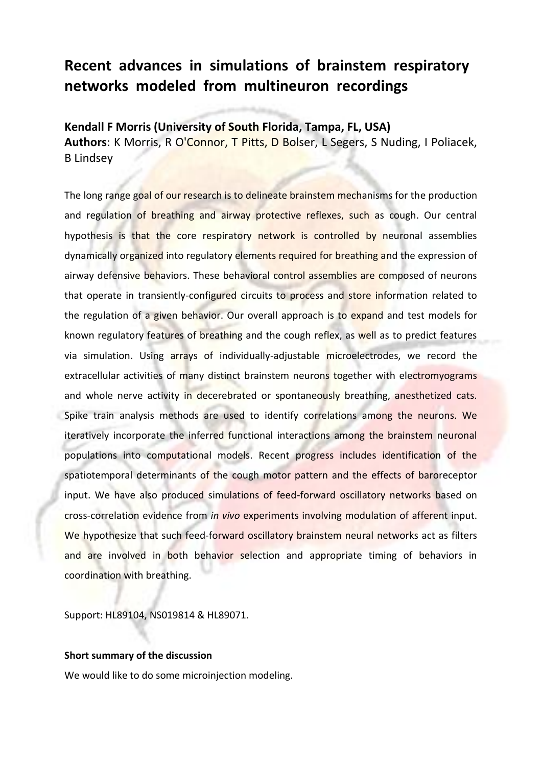# **Recent advances in simulations of brainstem respiratory networks modeled from multineuron recordings**

**Kendall F Morris (University of South Florida, Tampa, FL, USA) Authors**: K Morris, R O'Connor, T Pitts, D Bolser, L Segers, S Nuding, I Poliacek, B Lindsey

The long range goal of our research is to delineate brainstem mechanisms for the production and regulation of breathing and airway protective reflexes, such as cough. Our central hypothesis is that the core respiratory network is controlled by neuronal assemblies dynamically organized into regulatory elements required for breathing and the expression of airway defensive behaviors. These behavioral control assemblies are composed of neurons that operate in transiently-configured circuits to process and store information related to the regulation of a given behavior. Our overall approach is to expand and test models for known regulatory features of breathing and the cough reflex, as well as to predict features via simulation. Using arrays of individually-adjustable microelectrodes, we record the extracellular activities of many distinct brainstem neurons together with electromyograms and whole nerve activity in decerebrated or spontaneously breathing, anesthetized cats. Spike train analysis methods are used to identify correlations among the neurons. We iteratively incorporate the inferred functional interactions among the brainstem neuronal populations into computational models. Recent progress includes identification of the spatiotemporal determinants of the cough motor pattern and the effects of baroreceptor input. We have also produced simulations of feed-forward oscillatory networks based on cross-correlation evidence from *in vivo* experiments involving modulation of afferent input. We hypothesize that such feed-forward oscillatory brainstem neural networks act as filters and are involved in both behavior selection and appropriate timing of behaviors in coordination with breathing.

Support: HL89104, NS019814 & HL89071.

#### **Short summary of the discussion**

We would like to do some microinjection modeling.